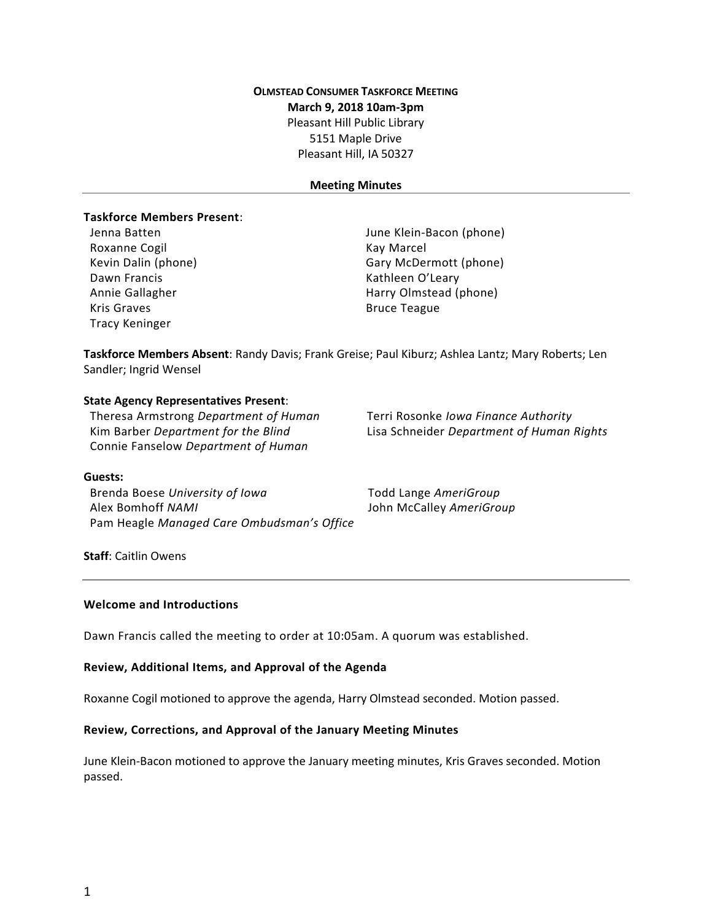# **OLMSTEAD CONSUMER TASKFORCE MEETING March 9, 2018 10am-3pm** Pleasant Hill Public Library 5151 Maple Drive Pleasant Hill, IA 50327

#### **Meeting Minutes**

## **Taskforce Members Present**:

Roxanne Cogil **Kay Marcel** Kay Marcel Dawn Francis **National Execution Contract Contract Contract Contract Contract Contract Contract Contract Contract Contract Contract Contract Contract Contract Contract Contract Contract Contract Contract Contract Contract** Kris Graves **Bruce Teague** Tracy Keninger

Jenna Batten June Klein-Bacon (phone) Kevin Dalin (phone) Gary McDermott (phone) Annie Gallagher **Harry Olmstead (phone)** 

**Taskforce Members Absent**: Randy Davis; Frank Greise; Paul Kiburz; Ashlea Lantz; Mary Roberts; Len Sandler; Ingrid Wensel

#### **State Agency Representatives Present**:

Theresa Armstrong *Department of Human* **Kim Barber Department for the Blind** Connie Fanselow *Department of Human*

Terri Rosonke *Iowa Finance Authority* Kim Barber *Department for the Blind* Lisa Schneider *Department of Human Rights*

#### **Guests:**

Brenda Boese *University of Iowa* Todd Lange *AmeriGroup* Alex Bomhoff *NAMI* John McCalley *AmeriGroup* Pam Heagle *Managed Care Ombudsman's Office*

#### **Staff**: Caitlin Owens

#### **Welcome and Introductions**

Dawn Francis called the meeting to order at 10:05am. A quorum was established.

#### **Review, Additional Items, and Approval of the Agenda**

Roxanne Cogil motioned to approve the agenda, Harry Olmstead seconded. Motion passed.

#### **Review, Corrections, and Approval of the January Meeting Minutes**

June Klein-Bacon motioned to approve the January meeting minutes, Kris Graves seconded. Motion passed.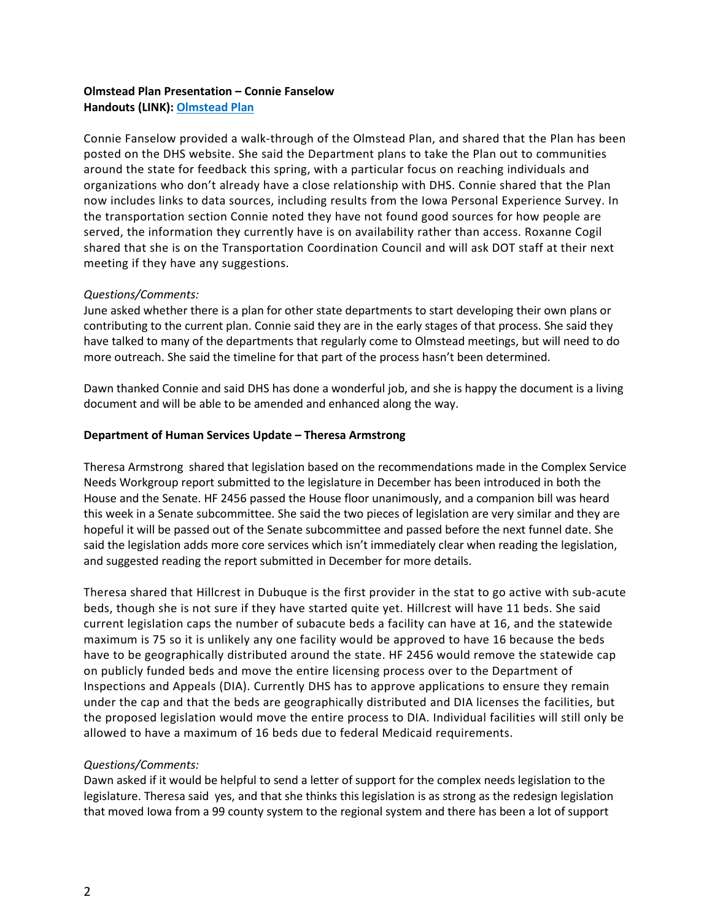## **Olmstead Plan Presentation – Connie Fanselow Handouts (LINK): [Olmstead](http://dhs.iowa.gov/sites/default/files/MHDS-Olmstead-Framework-2018.pdf) Plan**

Connie Fanselow provided a walk-through of the Olmstead Plan, and shared that the Plan has been posted on the DHS website. She said the Department plans to take the Plan out to communities around the state for feedback this spring, with a particular focus on reaching individuals and organizations who don't already have a close relationship with DHS. Connie shared that the Plan now includes links to data sources, including results from the Iowa Personal Experience Survey. In the transportation section Connie noted they have not found good sources for how people are served, the information they currently have is on availability rather than access. Roxanne Cogil shared that she is on the Transportation Coordination Council and will ask DOT staff at their next meeting if they have any suggestions.

## *Questions/Comments:*

June asked whether there is a plan for other state departments to start developing their own plans or contributing to the current plan. Connie said they are in the early stages of that process. She said they have talked to many of the departments that regularly come to Olmstead meetings, but will need to do more outreach. She said the timeline for that part of the process hasn't been determined.

Dawn thanked Connie and said DHS has done a wonderful job, and she is happy the document is a living document and will be able to be amended and enhanced along the way.

## **Department of Human Services Update – Theresa Armstrong**

Theresa Armstrong shared that legislation based on the recommendations made in the Complex Service Needs Workgroup report submitted to the legislature in December has been introduced in both the House and the Senate. HF 2456 passed the House floor unanimously, and a companion bill was heard this week in a Senate subcommittee. She said the two pieces of legislation are very similar and they are hopeful it will be passed out of the Senate subcommittee and passed before the next funnel date. She said the legislation adds more core services which isn't immediately clear when reading the legislation, and suggested reading the report submitted in December for more details.

Theresa shared that Hillcrest in Dubuque is the first provider in the stat to go active with sub-acute beds, though she is not sure if they have started quite yet. Hillcrest will have 11 beds. She said current legislation caps the number of subacute beds a facility can have at 16, and the statewide maximum is 75 so it is unlikely any one facility would be approved to have 16 because the beds have to be geographically distributed around the state. HF 2456 would remove the statewide cap on publicly funded beds and move the entire licensing process over to the Department of Inspections and Appeals (DIA). Currently DHS has to approve applications to ensure they remain under the cap and that the beds are geographically distributed and DIA licenses the facilities, but the proposed legislation would move the entire process to DIA. Individual facilities will still only be allowed to have a maximum of 16 beds due to federal Medicaid requirements.

# *Questions/Comments:*

Dawn asked if it would be helpful to send a letter of support for the complex needs legislation to the legislature. Theresa said yes, and that she thinks this legislation is as strong as the redesign legislation that moved Iowa from a 99 county system to the regional system and there has been a lot of support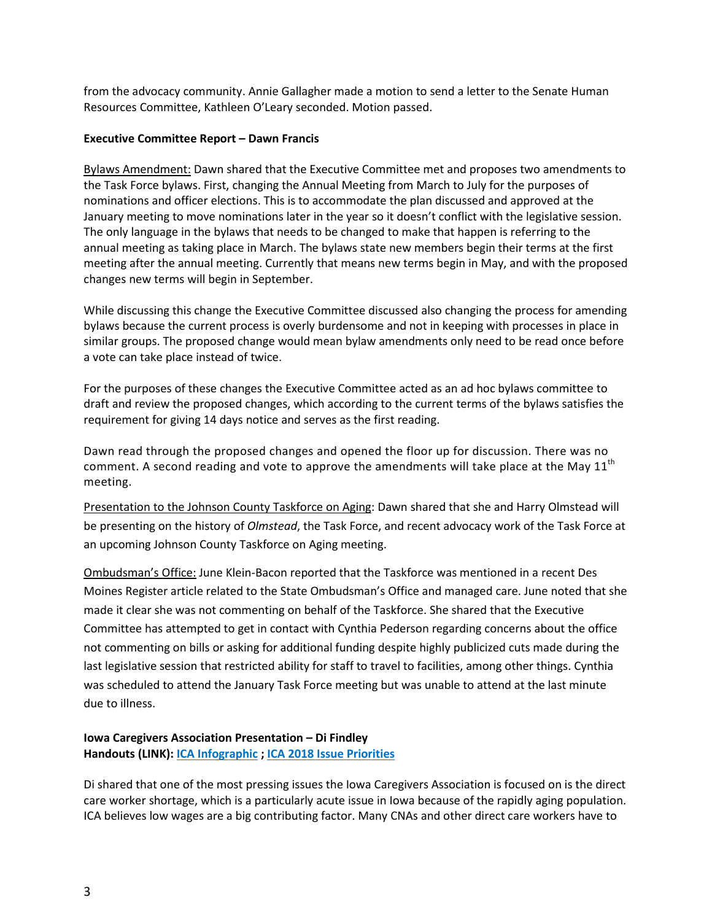from the advocacy community. Annie Gallagher made a motion to send a letter to the Senate Human Resources Committee, Kathleen O'Leary seconded. Motion passed.

### **Executive Committee Report – Dawn Francis**

Bylaws Amendment: Dawn shared that the Executive Committee met and proposes two amendments to the Task Force bylaws. First, changing the Annual Meeting from March to July for the purposes of nominations and officer elections. This is to accommodate the plan discussed and approved at the January meeting to move nominations later in the year so it doesn't conflict with the legislative session. The only language in the bylaws that needs to be changed to make that happen is referring to the annual meeting as taking place in March. The bylaws state new members begin their terms at the first meeting after the annual meeting. Currently that means new terms begin in May, and with the proposed changes new terms will begin in September.

While discussing this change the Executive Committee discussed also changing the process for amending bylaws because the current process is overly burdensome and not in keeping with processes in place in similar groups. The proposed change would mean bylaw amendments only need to be read once before a vote can take place instead of twice.

For the purposes of these changes the Executive Committee acted as an ad hoc bylaws committee to draft and review the proposed changes, which according to the current terms of the bylaws satisfies the requirement for giving 14 days notice and serves as the first reading.

Dawn read through the proposed changes and opened the floor up for discussion. There was no comment. A second reading and vote to approve the amendments will take place at the May  $11^{\text{th}}$ meeting.

Presentation to the Johnson County Taskforce on Aging: Dawn shared that she and Harry Olmstead will be presenting on the history of *Olmstead*, the Task Force, and recent advocacy work of the Task Force at an upcoming Johnson County Taskforce on Aging meeting.

Ombudsman's Office: June Klein-Bacon reported that the Taskforce was mentioned in a recent Des Moines Register article related to the State Ombudsman's Office and managed care. June noted that she made it clear she was not commenting on behalf of the Taskforce. She shared that the Executive Committee has attempted to get in contact with Cynthia Pederson regarding concerns about the office not commenting on bills or asking for additional funding despite highly publicized cuts made during the last legislative session that restricted ability for staff to travel to facilities, among other things. Cynthia was scheduled to attend the January Task Force meeting but was unable to attend at the last minute due to illness.

## **Iowa Caregivers Association Presentation – Di Findley Handouts (LINK): ICA [Infographic](http://www.iowacaregivers.org/uploads/pdf/infographic_11x17_final_.pdf) ; ICA 2018 Issue [Priorities](http://www.iowacaregivers.org/uploads/pdf/capitol_issues-new-v3.pdf)**

Di shared that one of the most pressing issues the Iowa Caregivers Association is focused on is the direct care worker shortage, which is a particularly acute issue in Iowa because of the rapidly aging population. ICA believes low wages are a big contributing factor. Many CNAs and other direct care workers have to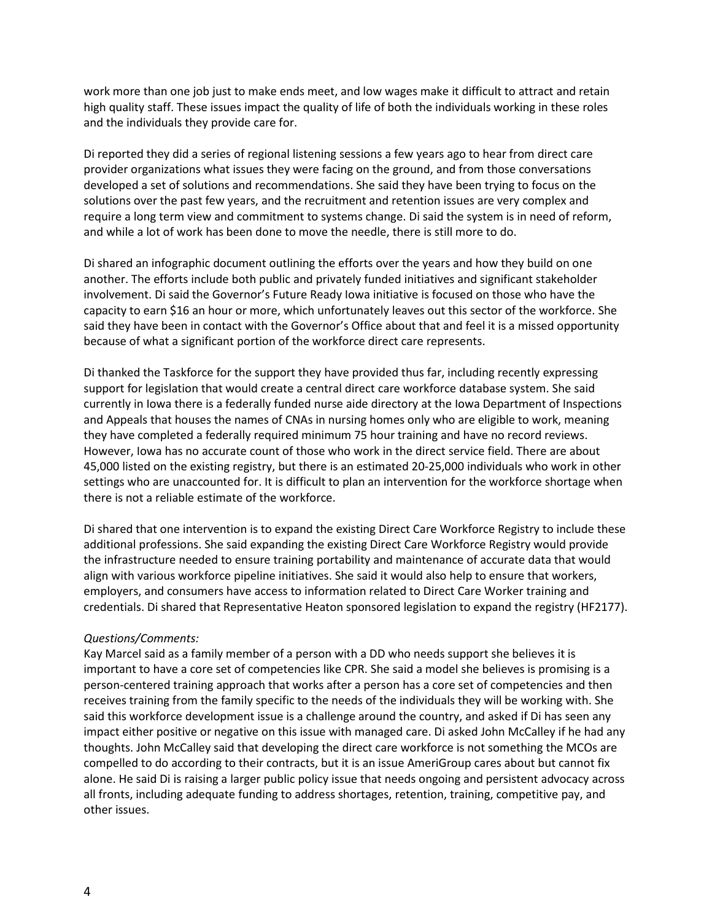work more than one job just to make ends meet, and low wages make it difficult to attract and retain high quality staff. These issues impact the quality of life of both the individuals working in these roles and the individuals they provide care for.

Di reported they did a series of regional listening sessions a few years ago to hear from direct care provider organizations what issues they were facing on the ground, and from those conversations developed a set of solutions and recommendations. She said they have been trying to focus on the solutions over the past few years, and the recruitment and retention issues are very complex and require a long term view and commitment to systems change. Di said the system is in need of reform, and while a lot of work has been done to move the needle, there is still more to do.

Di shared an infographic document outlining the efforts over the years and how they build on one another. The efforts include both public and privately funded initiatives and significant stakeholder involvement. Di said the Governor's Future Ready Iowa initiative is focused on those who have the capacity to earn \$16 an hour or more, which unfortunately leaves out this sector of the workforce. She said they have been in contact with the Governor's Office about that and feel it is a missed opportunity because of what a significant portion of the workforce direct care represents.

Di thanked the Taskforce for the support they have provided thus far, including recently expressing support for legislation that would create a central direct care workforce database system. She said currently in Iowa there is a federally funded nurse aide directory at the Iowa Department of Inspections and Appeals that houses the names of CNAs in nursing homes only who are eligible to work, meaning they have completed a federally required minimum 75 hour training and have no record reviews. However, Iowa has no accurate count of those who work in the direct service field. There are about 45,000 listed on the existing registry, but there is an estimated 20-25,000 individuals who work in other settings who are unaccounted for. It is difficult to plan an intervention for the workforce shortage when there is not a reliable estimate of the workforce.

Di shared that one intervention is to expand the existing Direct Care Workforce Registry to include these additional professions. She said expanding the existing Direct Care Workforce Registry would provide the infrastructure needed to ensure training portability and maintenance of accurate data that would align with various workforce pipeline initiatives. She said it would also help to ensure that workers, employers, and consumers have access to information related to Direct Care Worker training and credentials. Di shared that Representative Heaton sponsored legislation to expand the registry (HF2177).

## *Questions/Comments:*

Kay Marcel said as a family member of a person with a DD who needs support she believes it is important to have a core set of competencies like CPR. She said a model she believes is promising is a person-centered training approach that works after a person has a core set of competencies and then receives training from the family specific to the needs of the individuals they will be working with. She said this workforce development issue is a challenge around the country, and asked if Di has seen any impact either positive or negative on this issue with managed care. Di asked John McCalley if he had any thoughts. John McCalley said that developing the direct care workforce is not something the MCOs are compelled to do according to their contracts, but it is an issue AmeriGroup cares about but cannot fix alone. He said Di is raising a larger public policy issue that needs ongoing and persistent advocacy across all fronts, including adequate funding to address shortages, retention, training, competitive pay, and other issues.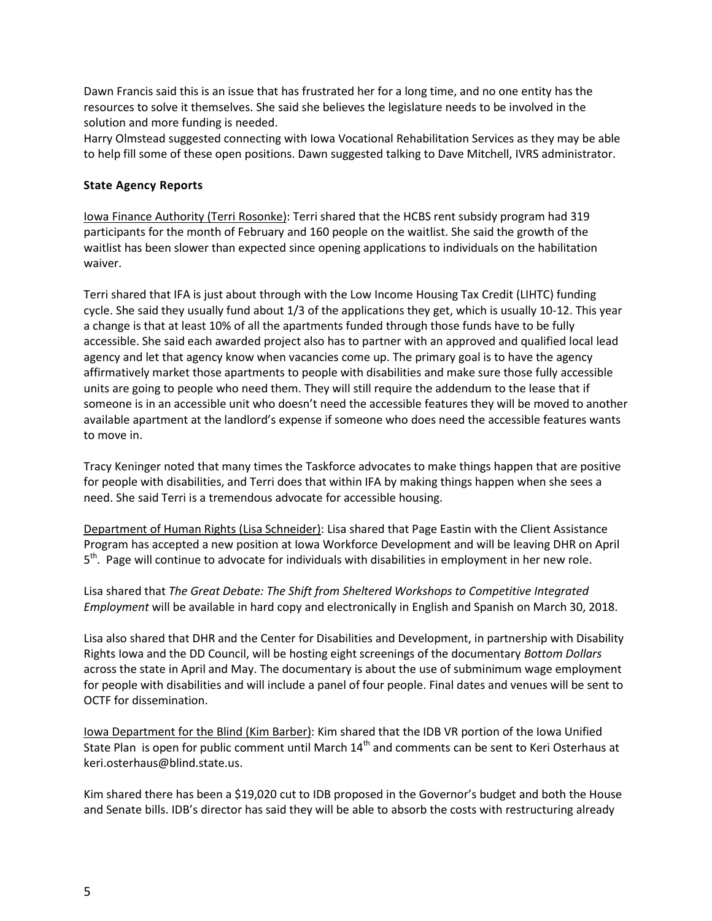Dawn Francis said this is an issue that has frustrated her for a long time, and no one entity has the resources to solve it themselves. She said she believes the legislature needs to be involved in the solution and more funding is needed.

Harry Olmstead suggested connecting with Iowa Vocational Rehabilitation Services as they may be able to help fill some of these open positions. Dawn suggested talking to Dave Mitchell, IVRS administrator.

## **State Agency Reports**

Iowa Finance Authority (Terri Rosonke): Terri shared that the HCBS rent subsidy program had 319 participants for the month of February and 160 people on the waitlist. She said the growth of the waitlist has been slower than expected since opening applications to individuals on the habilitation waiver.

Terri shared that IFA is just about through with the Low Income Housing Tax Credit (LIHTC) funding cycle. She said they usually fund about 1/3 of the applications they get, which is usually 10-12. This year a change is that at least 10% of all the apartments funded through those funds have to be fully accessible. She said each awarded project also has to partner with an approved and qualified local lead agency and let that agency know when vacancies come up. The primary goal is to have the agency affirmatively market those apartments to people with disabilities and make sure those fully accessible units are going to people who need them. They will still require the addendum to the lease that if someone is in an accessible unit who doesn't need the accessible features they will be moved to another available apartment at the landlord's expense if someone who does need the accessible features wants to move in.

Tracy Keninger noted that many times the Taskforce advocates to make things happen that are positive for people with disabilities, and Terri does that within IFA by making things happen when she sees a need. She said Terri is a tremendous advocate for accessible housing.

Department of Human Rights (Lisa Schneider): Lisa shared that Page Eastin with the Client Assistance Program has accepted a new position at Iowa Workforce Development and will be leaving DHR on April 5<sup>th</sup>. Page will continue to advocate for individuals with disabilities in employment in her new role.

Lisa shared that *The Great Debate: The Shift from Sheltered Workshops to Competitive Integrated Employment* will be available in hard copy and electronically in English and Spanish on March 30, 2018.

Lisa also shared that DHR and the Center for Disabilities and Development, in partnership with Disability Rights Iowa and the DD Council, will be hosting eight screenings of the documentary *Bottom Dollars* across the state in April and May. The documentary is about the use of subminimum wage employment for people with disabilities and will include a panel of four people. Final dates and venues will be sent to OCTF for dissemination.

Iowa Department for the Blind (Kim Barber): Kim shared that the IDB VR portion of the Iowa Unified State Plan is open for public comment until March 14<sup>th</sup> and comments can be sent to Keri Osterhaus at [keri.osterhaus@blind.state.us.](mailto:keri.osterhaus@blind.state.us)

Kim shared there has been a \$19,020 cut to IDB proposed in the Governor's budget and both the House and Senate bills. IDB's director has said they will be able to absorb the costs with restructuring already